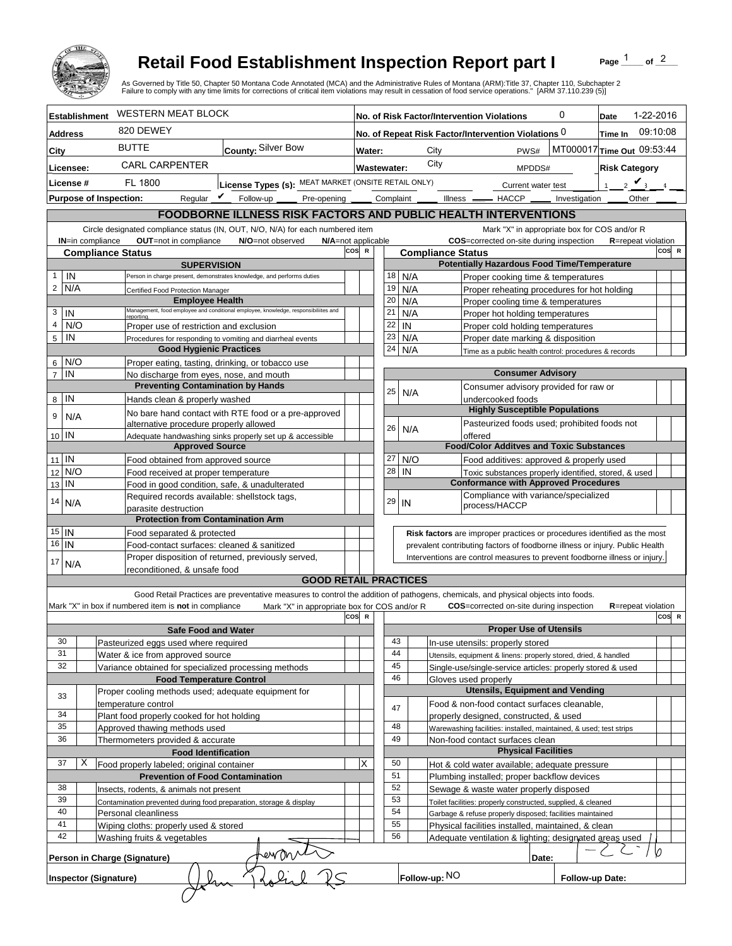

## **Retail Food Establishment Inspection Report part I**

Page  $\frac{1}{1}$  of  $\frac{2}{1}$ 

|                                                                         |                                                                                                                     |                      |                                                                                          | <b>Retail Food Establishment Inspection Report part I</b><br>As Governed by Title 50, Chapter 50 Montana Code Annotated (MCA) and the Administrative Rules of Montana (ARM):Title 37, Chapter 110, Subchapter 2<br>Failure to comply with any time limits for corrections of critical item violations may result in cessation of food service operations." [ARM 37.110.239 (5)] |                    |                                                                                                                                                          |                                                                                                   |                                                           |                                                                                                                               |                            |  | Page                                         | of $^2$   |
|-------------------------------------------------------------------------|---------------------------------------------------------------------------------------------------------------------|----------------------|------------------------------------------------------------------------------------------|---------------------------------------------------------------------------------------------------------------------------------------------------------------------------------------------------------------------------------------------------------------------------------------------------------------------------------------------------------------------------------|--------------------|----------------------------------------------------------------------------------------------------------------------------------------------------------|---------------------------------------------------------------------------------------------------|-----------------------------------------------------------|-------------------------------------------------------------------------------------------------------------------------------|----------------------------|--|----------------------------------------------|-----------|
|                                                                         |                                                                                                                     | <b>Establishment</b> | <b>WESTERN MEAT BLOCK</b>                                                                |                                                                                                                                                                                                                                                                                                                                                                                 |                    |                                                                                                                                                          |                                                                                                   |                                                           | No. of Risk Factor/Intervention Violations                                                                                    | 0                          |  | Date                                         | 1-22-2016 |
| <b>Address</b>                                                          |                                                                                                                     |                      | 820 DEWEY                                                                                |                                                                                                                                                                                                                                                                                                                                                                                 |                    | 09:10:08<br>No. of Repeat Risk Factor/Intervention Violations 0<br>Time In                                                                               |                                                                                                   |                                                           |                                                                                                                               |                            |  |                                              |           |
| City                                                                    |                                                                                                                     |                      | <b>BUTTE</b>                                                                             | County: Silver Bow                                                                                                                                                                                                                                                                                                                                                              | Water:             |                                                                                                                                                          |                                                                                                   | MT000017 Time Out 09:53:44<br>City<br>PWS#                |                                                                                                                               |                            |  |                                              |           |
|                                                                         |                                                                                                                     |                      | <b>CARL CARPENTER</b>                                                                    |                                                                                                                                                                                                                                                                                                                                                                                 | Wastewater:        |                                                                                                                                                          |                                                                                                   | City                                                      |                                                                                                                               | MPDDS#                     |  | <b>Risk Category</b>                         |           |
| Licensee:<br>License #                                                  |                                                                                                                     |                      | FL 1800                                                                                  | License Types (s): MEAT MARKET (ONSITE RETAIL ONLY)                                                                                                                                                                                                                                                                                                                             |                    |                                                                                                                                                          |                                                                                                   |                                                           | Current water test                                                                                                            |                            |  | $2 \vee$<br>1 <sup>1</sup>                   |           |
|                                                                         | Reqular $\boldsymbol{V}$<br>Follow-up<br><b>Purpose of Inspection:</b>                                              |                      |                                                                                          |                                                                                                                                                                                                                                                                                                                                                                                 |                    |                                                                                                                                                          |                                                                                                   |                                                           | Pre-opening ______ Complaint ______ Illness _______ HACCP ______ Investigation                                                |                            |  | Other                                        |           |
| FOODBORNE ILLNESS RISK FACTORS AND PUBLIC HEALTH INTERVENTIONS          |                                                                                                                     |                      |                                                                                          |                                                                                                                                                                                                                                                                                                                                                                                 |                    |                                                                                                                                                          |                                                                                                   |                                                           |                                                                                                                               |                            |  |                                              |           |
|                                                                         |                                                                                                                     |                      |                                                                                          | Circle designated compliance status (IN, OUT, N/O, N/A) for each numbered item                                                                                                                                                                                                                                                                                                  |                    |                                                                                                                                                          |                                                                                                   |                                                           |                                                                                                                               |                            |  | Mark "X" in appropriate box for COS and/or R |           |
|                                                                         |                                                                                                                     | IN=in compliance     | OUT=not in compliance                                                                    | N/O=not observed<br>N/A=not applicable                                                                                                                                                                                                                                                                                                                                          |                    |                                                                                                                                                          |                                                                                                   |                                                           | COS=corrected on-site during inspection                                                                                       |                            |  | <b>R</b> =repeat violation                   |           |
|                                                                         |                                                                                                                     |                      | <b>Compliance Status</b>                                                                 |                                                                                                                                                                                                                                                                                                                                                                                 | cos<br>$\mathbf R$ |                                                                                                                                                          |                                                                                                   | <b>Compliance Status</b>                                  |                                                                                                                               |                            |  |                                              | COS R     |
|                                                                         | IN                                                                                                                  |                      | <b>SUPERVISION</b>                                                                       | Person in charge present, demonstrates knowledge, and performs duties                                                                                                                                                                                                                                                                                                           |                    | 18                                                                                                                                                       | N/A                                                                                               |                                                           | <b>Potentially Hazardous Food Time/Temperature</b><br>Proper cooking time & temperatures                                      |                            |  |                                              |           |
|                                                                         | $2$ N/A                                                                                                             |                      | Certified Food Protection Manager                                                        |                                                                                                                                                                                                                                                                                                                                                                                 |                    | 19                                                                                                                                                       | N/A                                                                                               |                                                           | Proper reheating procedures for hot holding                                                                                   |                            |  |                                              |           |
|                                                                         |                                                                                                                     |                      | <b>Employee Health</b>                                                                   |                                                                                                                                                                                                                                                                                                                                                                                 |                    | 20                                                                                                                                                       | N/A                                                                                               |                                                           | Proper cooling time & temperatures                                                                                            |                            |  |                                              |           |
| 3                                                                       | IN                                                                                                                  |                      | reporting                                                                                | Management, food employee and conditional employee, knowledge, responsibiliites and                                                                                                                                                                                                                                                                                             |                    | 21                                                                                                                                                       | N/A                                                                                               |                                                           | Proper hot holding temperatures                                                                                               |                            |  |                                              |           |
| 4<br>5                                                                  | N/O<br>IN                                                                                                           |                      | Proper use of restriction and exclusion                                                  |                                                                                                                                                                                                                                                                                                                                                                                 |                    | 22<br>23                                                                                                                                                 | IN<br>N/A                                                                                         |                                                           | Proper cold holding temperatures<br>Proper date marking & disposition                                                         |                            |  |                                              |           |
|                                                                         |                                                                                                                     |                      | <b>Good Hygienic Practices</b>                                                           | Procedures for responding to vomiting and diarrheal events                                                                                                                                                                                                                                                                                                                      |                    | 24                                                                                                                                                       | N/A                                                                                               |                                                           | Time as a public health control: procedures & records                                                                         |                            |  |                                              |           |
|                                                                         | $6$ N/O                                                                                                             |                      | Proper eating, tasting, drinking, or tobacco use                                         |                                                                                                                                                                                                                                                                                                                                                                                 |                    |                                                                                                                                                          |                                                                                                   |                                                           |                                                                                                                               |                            |  |                                              |           |
| $\overline{7}$                                                          | IN                                                                                                                  |                      | No discharge from eyes, nose, and mouth                                                  |                                                                                                                                                                                                                                                                                                                                                                                 |                    |                                                                                                                                                          |                                                                                                   |                                                           |                                                                                                                               | <b>Consumer Advisory</b>   |  |                                              |           |
|                                                                         | 8 IN                                                                                                                |                      | <b>Preventing Contamination by Hands</b><br>Hands clean & properly washed                |                                                                                                                                                                                                                                                                                                                                                                                 |                    | 25                                                                                                                                                       |                                                                                                   | N/A                                                       | Consumer advisory provided for raw or                                                                                         |                            |  |                                              |           |
|                                                                         |                                                                                                                     |                      |                                                                                          | No bare hand contact with RTE food or a pre-approved                                                                                                                                                                                                                                                                                                                            |                    |                                                                                                                                                          |                                                                                                   |                                                           | undercooked foods<br><b>Highly Susceptible Populations</b>                                                                    |                            |  |                                              |           |
| 9                                                                       | N/A                                                                                                                 |                      | alternative procedure properly allowed                                                   |                                                                                                                                                                                                                                                                                                                                                                                 |                    | 26                                                                                                                                                       |                                                                                                   |                                                           | Pasteurized foods used; prohibited foods not                                                                                  |                            |  |                                              |           |
|                                                                         | $10$ IN                                                                                                             |                      |                                                                                          | Adequate handwashing sinks properly set up & accessible                                                                                                                                                                                                                                                                                                                         |                    |                                                                                                                                                          |                                                                                                   | N/A                                                       | offered                                                                                                                       |                            |  |                                              |           |
|                                                                         | $11$ IN                                                                                                             |                      | <b>Approved Source</b>                                                                   |                                                                                                                                                                                                                                                                                                                                                                                 |                    | 27                                                                                                                                                       |                                                                                                   | N/O                                                       | <b>Food/Color Additves and Toxic Substances</b>                                                                               |                            |  |                                              |           |
| 12                                                                      | N/O                                                                                                                 |                      | Food obtained from approved source<br>Food received at proper temperature                |                                                                                                                                                                                                                                                                                                                                                                                 |                    | 28                                                                                                                                                       | IN                                                                                                |                                                           | Food additives: approved & properly used<br>Toxic substances properly identified, stored, & used                              |                            |  |                                              |           |
| 13                                                                      | IN                                                                                                                  |                      | Food in good condition, safe, & unadulterated                                            |                                                                                                                                                                                                                                                                                                                                                                                 |                    |                                                                                                                                                          |                                                                                                   |                                                           | <b>Conformance with Approved Procedures</b>                                                                                   |                            |  |                                              |           |
| 14                                                                      | N/A                                                                                                                 |                      | Required records available: shellstock tags,                                             |                                                                                                                                                                                                                                                                                                                                                                                 |                    | 29                                                                                                                                                       | IN                                                                                                |                                                           | Compliance with variance/specialized                                                                                          |                            |  |                                              |           |
|                                                                         |                                                                                                                     |                      | parasite destruction                                                                     |                                                                                                                                                                                                                                                                                                                                                                                 |                    |                                                                                                                                                          |                                                                                                   |                                                           | process/HACCP                                                                                                                 |                            |  |                                              |           |
|                                                                         | $15$   IN                                                                                                           |                      | <b>Protection from Contamination Arm</b><br>Food separated & protected                   |                                                                                                                                                                                                                                                                                                                                                                                 |                    |                                                                                                                                                          |                                                                                                   |                                                           |                                                                                                                               |                            |  |                                              |           |
|                                                                         | 16 IN                                                                                                               |                      | Food-contact surfaces: cleaned & sanitized                                               |                                                                                                                                                                                                                                                                                                                                                                                 |                    | Risk factors are improper practices or procedures identified as the most<br>prevalent contributing factors of foodborne illness or injury. Public Health |                                                                                                   |                                                           |                                                                                                                               |                            |  |                                              |           |
| Proper disposition of returned, previously served,<br>$17 \overline{ }$ |                                                                                                                     |                      | Interventions are control measures to prevent foodborne illness or injury.               |                                                                                                                                                                                                                                                                                                                                                                                 |                    |                                                                                                                                                          |                                                                                                   |                                                           |                                                                                                                               |                            |  |                                              |           |
| N/A<br>reconditioned, & unsafe food<br><b>GOOD RETAIL PRACTICES</b>     |                                                                                                                     |                      |                                                                                          |                                                                                                                                                                                                                                                                                                                                                                                 |                    |                                                                                                                                                          |                                                                                                   |                                                           |                                                                                                                               |                            |  |                                              |           |
|                                                                         |                                                                                                                     |                      |                                                                                          |                                                                                                                                                                                                                                                                                                                                                                                 |                    |                                                                                                                                                          |                                                                                                   |                                                           |                                                                                                                               |                            |  |                                              |           |
|                                                                         |                                                                                                                     |                      | Mark "X" in box if numbered item is not in compliance                                    | Good Retail Practices are preventative measures to control the addition of pathogens, chemicals, and physical objects into foods.<br>Mark "X" in appropriate box for COS and/or R                                                                                                                                                                                               |                    |                                                                                                                                                          |                                                                                                   |                                                           | <b>COS</b> =corrected on-site during inspection                                                                               |                            |  | <b>R</b> =repeat violation                   |           |
| cos<br>$\mathbf R$                                                      |                                                                                                                     |                      |                                                                                          |                                                                                                                                                                                                                                                                                                                                                                                 |                    |                                                                                                                                                          |                                                                                                   |                                                           |                                                                                                                               | COS R                      |  |                                              |           |
|                                                                         |                                                                                                                     |                      | <b>Safe Food and Water</b>                                                               |                                                                                                                                                                                                                                                                                                                                                                                 |                    |                                                                                                                                                          |                                                                                                   |                                                           | <b>Proper Use of Utensils</b>                                                                                                 |                            |  |                                              |           |
|                                                                         | 30<br>31                                                                                                            |                      | Pasteurized eggs used where required                                                     |                                                                                                                                                                                                                                                                                                                                                                                 |                    | 43<br>44                                                                                                                                                 |                                                                                                   |                                                           | In-use utensils: properly stored                                                                                              |                            |  |                                              |           |
|                                                                         | 32                                                                                                                  |                      | Water & ice from approved source<br>Variance obtained for specialized processing methods |                                                                                                                                                                                                                                                                                                                                                                                 |                    | 45                                                                                                                                                       |                                                                                                   |                                                           | Utensils, equipment & linens: properly stored, dried, & handled<br>Single-use/single-service articles: properly stored & used |                            |  |                                              |           |
|                                                                         |                                                                                                                     |                      | <b>Food Temperature Control</b>                                                          |                                                                                                                                                                                                                                                                                                                                                                                 |                    | 46                                                                                                                                                       |                                                                                                   |                                                           | Gloves used properly                                                                                                          |                            |  |                                              |           |
|                                                                         | 33                                                                                                                  |                      | Proper cooling methods used; adequate equipment for                                      |                                                                                                                                                                                                                                                                                                                                                                                 |                    |                                                                                                                                                          |                                                                                                   |                                                           | <b>Utensils, Equipment and Vending</b>                                                                                        |                            |  |                                              |           |
|                                                                         | 34                                                                                                                  |                      | temperature control                                                                      |                                                                                                                                                                                                                                                                                                                                                                                 |                    | 47                                                                                                                                                       |                                                                                                   |                                                           | Food & non-food contact surfaces cleanable,                                                                                   |                            |  |                                              |           |
|                                                                         | 35                                                                                                                  |                      | Plant food properly cooked for hot holding<br>Approved thawing methods used              |                                                                                                                                                                                                                                                                                                                                                                                 |                    | 48                                                                                                                                                       |                                                                                                   |                                                           | properly designed, constructed, & used<br>Warewashing facilities: installed, maintained, & used; test strips                  |                            |  |                                              |           |
| 36<br>Thermometers provided & accurate                                  |                                                                                                                     |                      |                                                                                          | 49<br>Non-food contact surfaces clean                                                                                                                                                                                                                                                                                                                                           |                    |                                                                                                                                                          |                                                                                                   |                                                           |                                                                                                                               |                            |  |                                              |           |
|                                                                         |                                                                                                                     |                      | <b>Food Identification</b>                                                               |                                                                                                                                                                                                                                                                                                                                                                                 |                    |                                                                                                                                                          |                                                                                                   |                                                           |                                                                                                                               | <b>Physical Facilities</b> |  |                                              |           |
|                                                                         | 37                                                                                                                  | х                    | Food properly labeled; original container                                                |                                                                                                                                                                                                                                                                                                                                                                                 | Χ                  | 50                                                                                                                                                       |                                                                                                   |                                                           | Hot & cold water available; adequate pressure                                                                                 |                            |  |                                              |           |
|                                                                         | 38                                                                                                                  |                      | <b>Prevention of Food Contamination</b>                                                  |                                                                                                                                                                                                                                                                                                                                                                                 |                    |                                                                                                                                                          | 51<br>Plumbing installed; proper backflow devices<br>52<br>Sewage & waste water properly disposed |                                                           |                                                                                                                               |                            |  |                                              |           |
|                                                                         | Insects, rodents, & animals not present<br>39<br>Contamination prevented during food preparation, storage & display |                      |                                                                                          |                                                                                                                                                                                                                                                                                                                                                                                 | 53                 |                                                                                                                                                          | Toilet facilities: properly constructed, supplied, & cleaned                                      |                                                           |                                                                                                                               |                            |  |                                              |           |
| 40                                                                      |                                                                                                                     |                      | Personal cleanliness                                                                     |                                                                                                                                                                                                                                                                                                                                                                                 |                    | 54                                                                                                                                                       |                                                                                                   | Garbage & refuse properly disposed; facilities maintained |                                                                                                                               |                            |  |                                              |           |
| 41                                                                      |                                                                                                                     |                      | Wiping cloths: properly used & stored                                                    |                                                                                                                                                                                                                                                                                                                                                                                 |                    |                                                                                                                                                          | 55<br>Physical facilities installed, maintained, & clean                                          |                                                           |                                                                                                                               |                            |  |                                              |           |
|                                                                         | 42                                                                                                                  |                      | Washing fruits & vegetables                                                              |                                                                                                                                                                                                                                                                                                                                                                                 |                    |                                                                                                                                                          | 56                                                                                                |                                                           | Adequate ventilation & lighting; designated areas used                                                                        |                            |  |                                              |           |
|                                                                         |                                                                                                                     |                      | Person in Charge (Signature)                                                             | eW On                                                                                                                                                                                                                                                                                                                                                                           |                    |                                                                                                                                                          |                                                                                                   |                                                           |                                                                                                                               | Date:                      |  |                                              | Ø         |
|                                                                         |                                                                                                                     |                      |                                                                                          |                                                                                                                                                                                                                                                                                                                                                                                 |                    |                                                                                                                                                          |                                                                                                   | Follow-up: NO                                             |                                                                                                                               |                            |  |                                              |           |
| <b>Inspector (Signature)</b><br>Follow-up Date:                         |                                                                                                                     |                      |                                                                                          |                                                                                                                                                                                                                                                                                                                                                                                 |                    |                                                                                                                                                          |                                                                                                   |                                                           |                                                                                                                               |                            |  |                                              |           |